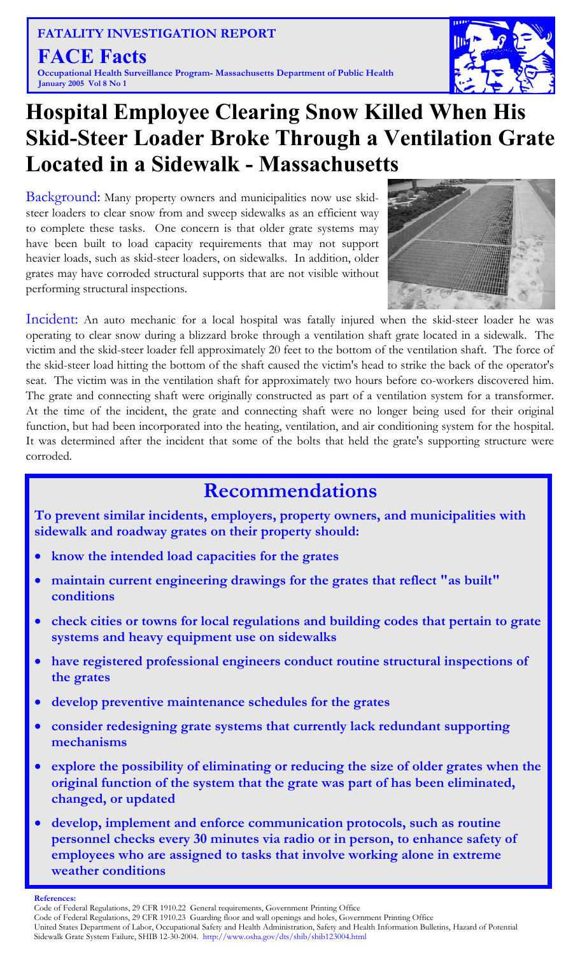**FATALITY INVESTIGATION REPORT FACE Facts Occupational Health Surveillance Program- Massachusetts Department of Public Health January 2005 Vol 8 No 1** 



## **Hospital Employee Clearing Snow Killed When His Skid-Steer Loader Broke Through a Ventilation Grate Located in a Sidewalk - Massachusetts**

Background: Many property owners and municipalities now use skidsteer loaders to clear snow from and sweep sidewalks as an efficient way to complete these tasks. One concern is that older grate systems may have been built to load capacity requirements that may not support heavier loads, such as skid-steer loaders, on sidewalks. In addition, older grates may have corroded structural supports that are not visible without performing structural inspections.



Incident: An auto mechanic for a local hospital was fatally injured when the skid-steer loader he was operating to clear snow during a blizzard broke through a ventilation shaft grate located in a sidewalk. The victim and the skid-steer loader fell approximately 20 feet to the bottom of the ventilation shaft. The force of the skid-steer load hitting the bottom of the shaft caused the victim's head to strike the back of the operator's seat. The victim was in the ventilation shaft for approximately two hours before co-workers discovered him. The grate and connecting shaft were originally constructed as part of a ventilation system for a transformer. At the time of the incident, the grate and connecting shaft were no longer being used for their original function, but had been incorporated into the heating, ventilation, and air conditioning system for the hospital. It was determined after the incident that some of the bolts that held the grate's supporting structure were corroded.

### **Recommendations**

**To prevent similar incidents, employers, property owners, and municipalities with sidewalk and roadway grates on their property should:** 

- **know the intended load capacities for the grates**
- **maintain current engineering drawings for the grates that reflect "as built" conditions**
- **check cities or towns for local regulations and building codes that pertain to grate systems and heavy equipment use on sidewalks**
- **have registered professional engineers conduct routine structural inspections of the grates**
- **develop preventive maintenance schedules for the grates**
- **consider redesigning grate systems that currently lack redundant supporting mechanisms**
- **explore the possibility of eliminating or reducing the size of older grates when the original function of the system that the grate was part of has been eliminated, changed, or updated**
- **develop, implement and enforce communication protocols, such as routine personnel checks every 30 minutes via radio or in person, to enhance safety of employees who are assigned to tasks that involve working alone in extreme weather conditions**

#### **References:**

Code of Federal Regulations, 29 CFR 1910.22 General requirements, Government Printing Office

Code of Federal Regulations, 29 CFR 1910.23 Guarding floor and wall openings and holes, Government Printing Office

United States Department of Labor, Occupational Safety and Health Administration, Safety and Health Information Bulletins, Hazard of Potential Sidewalk Grate System Failure, SHIB 12-30-2004. http://www.osha.gov/dts/shib/shib123004.html